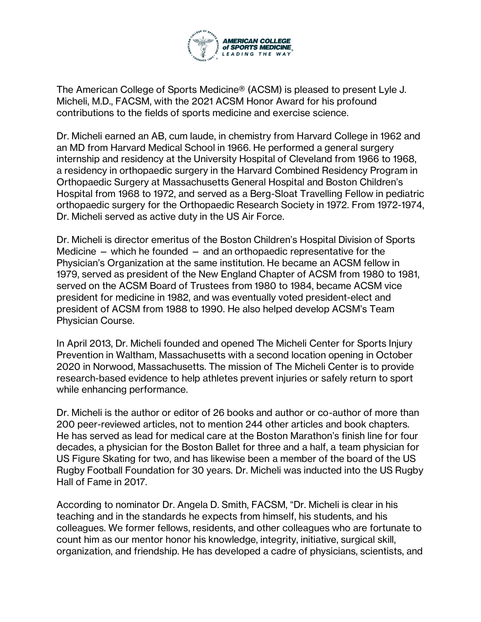

The American College of Sports Medicine® (ACSM) is pleased to present Lyle J. Micheli, M.D., FACSM, with the 2021 ACSM Honor Award for his profound contributions to the fields of sports medicine and exercise science.

Dr. Micheli earned an AB, cum laude, in chemistry from Harvard College in 1962 and an MD from Harvard Medical School in 1966. He performed a general surgery internship and residency at the University Hospital of Cleveland from 1966 to 1968, a residency in orthopaedic surgery in the Harvard Combined Residency Program in Orthopaedic Surgery at Massachusetts General Hospital and Boston Children's Hospital from 1968 to 1972, and served as a Berg-Sloat Travelling Fellow in pediatric orthopaedic surgery for the Orthopaedic Research Society in 1972. From 1972-1974, Dr. Micheli served as active duty in the US Air Force.

Dr. Micheli is director emeritus of the Boston Children's Hospital Division of Sports Medicine  $-$  which he founded  $-$  and an orthopaedic representative for the Physician's Organization at the same institution. He became an ACSM fellow in 1979, served as president of the New England Chapter of ACSM from 1980 to 1981, served on the ACSM Board of Trustees from 1980 to 1984, became ACSM vice president for medicine in 1982, and was eventually voted president-elect and president of ACSM from 1988 to 1990. He also helped develop ACSM's Team Physician Course.

In April 2013, Dr. Micheli founded and opened The Micheli Center for Sports Injury Prevention in Waltham, Massachusetts with a second location opening in October 2020 in Norwood, Massachusetts. The mission of The Micheli Center is to provide research-based evidence to help athletes prevent injuries or safely return to sport while enhancing performance.

Dr. Micheli is the author or editor of 26 books and author or co-author of more than 200 peer-reviewed articles, not to mention 244 other articles and book chapters. He has served as lead for medical care at the Boston Marathon's finish line for four decades, a physician for the Boston Ballet for three and a half, a team physician for US Figure Skating for two, and has likewise been a member of the board of the US Rugby Football Foundation for 30 years. Dr. Micheli was inducted into the US Rugby Hall of Fame in 2017.

According to nominator Dr. Angela D. Smith, FACSM, "Dr. Micheli is clear in his teaching and in the standards he expects from himself, his students, and his colleagues. We former fellows, residents, and other colleagues who are fortunate to count him as our mentor honor his knowledge, integrity, initiative, surgical skill, organization, and friendship. He has developed a cadre of physicians, scientists, and